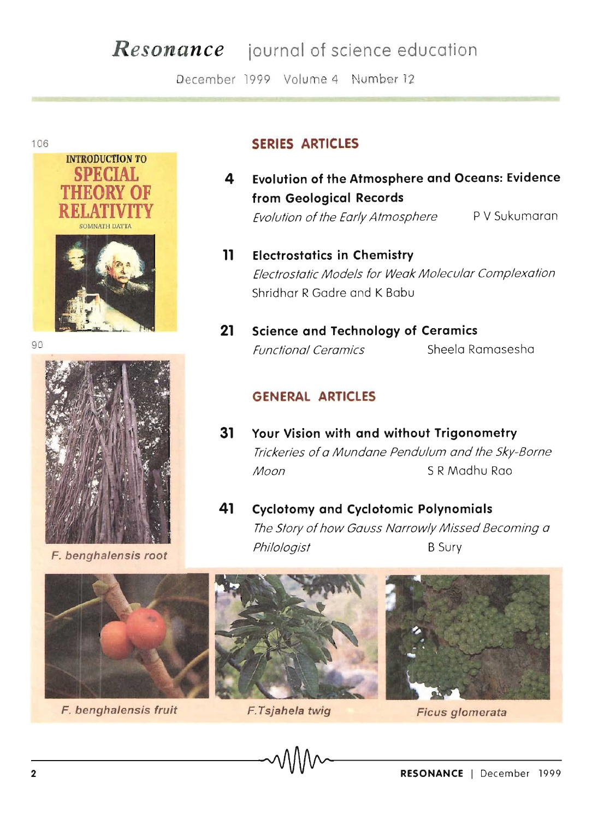## **Resonance** journal of science education

December 1999 Volume 4 Number 12



106



F. benghalensis root



- Evolution of the Atmosphere and Oceans: Evidence 4 from Geological Records P V Sukumaran Evolution of the Early Atmosphere
- $\mathbf{11}$ **Electrostatics in Chemistry** Electrostatic Models for Weak Molecular Complexation Shridhar R Gadre and K Babu
- $21$ **Science and Technology of Ceramics Functional Ceramics** Sheela Ramasesha

## **GENERAL ARTICLES**

- Your Vision with and without Trigonometry  $31$ Trickeries of a Mundane Pendulum and the Sky-Borne S R Madhu Rao Moon
- **Cyclotomy and Cyclotomic Polynomials** 41 The Story of how Gauss Narrowly Missed Becoming a Philologist **B** Sury



F. benghalensis fruit







Ficus glomerata